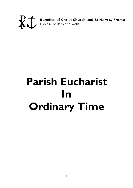

**Benefice of Christ Church and St Mary's, Frome**<br>Diocese of Bath and Wells

# **Parish Eucharist In Ordinary Time**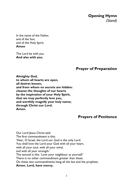**Opening Hymn** *(Stand)*

In the name of the Father, and of the Son, and of the Holy Spirit. **Amen**

The Lord be with you **And also with you.**

## **Prayer of Preparation**

**Almighty God, to whom all hearts are open, all desires known, and from whom no secrets are hidden: cleanse the thoughts of our hearts by the inspiration of your Holy Spirit, that we may perfectly love you, and worthily magnify your holy name; through Christ our Lord. Amen.**

#### **Prayers of Penitence**

Our Lord Jesus Christ said: The first commandment is this: 'Hear, O Israel, the Lord our God is the only Lord. You shall love the Lord your God with all your heart, with all your soul, with all your mind, and with all your strength.' The second is this: 'Love your neighbour as yourself.' There is no other commandment greater than these. On these two commandments hang all the law and the prophets. **Amen. Lord, have mercy.**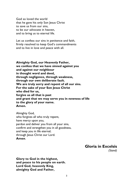God so loved the world that he gave his only Son Jesus Christ to save us from our sins, to be our advocate in heaven, and to bring us to eternal life.

Let us confess our sins in penitence and faith, firmly resolved to keep God's commandments and to live in love and peace with all.

**Almighty God, our Heavenly Father, we confess that we have sinned against you and against our neighbour in thought word and deed, through negligence, through weakness, through our own deliberate fault. We are truly sorry and repent of all our sins. For the sake of your Son Jesus Christ who died for us, forgive us all that is past and grant that we may serve you in newness of life to the glory of your name. Amen.**

Almighty God, who forgives all who truly repent, have mercy upon you, pardon and deliver you from all your sins, confirm and strengthen you in all goodness, and keep you in life eternal; through Jesus Christ our Lord. **Amen**.

**Gloria in Excelsis**

*(Stand)*

**Glory to God in the highest, and peace to his people on earth. Lord God, heavenly King, almighty God and Father,**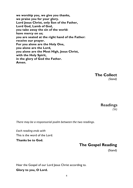**we worship you, we give you thanks, we praise you for your glory. Lord Jesus Christ, only Son of the Father, Lord God, Lamb of God, you take away the sin of the world: have mercy on us; you are seated at the right hand of the Father: receive our prayer. For you alone are the Holy One, you alone are the Lord, you alone are the Most High, Jesus Christ, with the Holy Spirit, in the glory of God the Father. Amen.**

> **The Collect** *(Stand)*

> > **Readings** *(Sit)*

*There may be a responsorial psalm between the two readings.*

*Each reading ends with* This is the word of the Lord.

**Thanks be to God.**

#### **The Gospel Reading**

(Stand)

Hear the Gospel of our Lord Jesus Christ according to.

**Glory to you, O Lord.**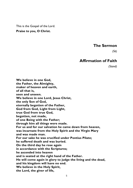This is the Gospel of the Lord. **Praise to you, O Christ.**

#### **The Sermon**

*(Sit)*

#### **Affirmation of Faith**

*(Stand)*

**We believe in one God, the Father, the Almighty, maker of heaven and earth, of all that is, seen and unseen. We believe in one Lord, Jesus Christ, the only Son of God, eternally begotten of the Father, God from God, Light from Light, true God from true God, begotten, not made, of one Being with the Father; through him all things were made. For us and for our salvation he came down from heaven, was incarnate from the Holy Spirit and the Virgin Mary and was made man. For our sake he was crucified under Pontius Pilate; he suffered death and was buried. On the third day he rose again in accordance with the Scriptures; he ascended into heaven and is seated at the right hand of the Father. He will come again in glory to judge the living and the dead, and his kingdom will have no end. We believe in the Holy Spirit, the Lord, the giver of life,**

5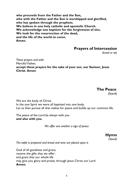**who proceeds from the Father and the Son, who with the Father and the Son is worshipped and glorified, who has spoken through the prophets. We believe in one holy catholic and apostolic Church. We acknowledge one baptism for the forgiveness of sins. We look for the resurrection of the dead, and the life of the world to come. Amen.**

#### **Prayers of Intercession**

 *(kneel or sit)*

*These prayers end with:* Merciful Father, **accept these prayers for the sake of your son, our Saviour, Jesus Christ. Amen**

> **The Peace**(Stand)

We are the body of Christ. In the one Spirit we were all baptised into one body. Let us then pursue all that makes for peace and builds up our common life.

The peace of the Lord be always with you **and also with you.**

*We offer one another a sign of peace*

**Hymn** *(Stand)*

*The table is prepared and bread and wine are placed upon it.*

God of all goodness and grace, receive the gifts that we offer: and grant that our whole life may give you glory and praise; through Jesus Christ our Lord **Amen.**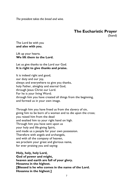*The president takes the bread and wine.*

# **The Eucharistic Prayer**

(Stand)

The Lord be with you **and also with you.**

Lift up your hearts. **We lift them to the Lord.**

Let us give thanks to the Lord our God. **It is right to give thanks and praise.**

It is indeed right and good, our duty and our joy, always and everywhere to give you thanks, holy Father, almighty and eternal God, through Jesus Christ our Lord. For he is your living Word; through him you have created all things from the beginning, and formed us in your own image.

Through him you have freed us from the slavery of sin, giving him to be born of a woman and to die upon the cross; you raised him from the dead and exalted him to your right hand on high. Through him you have sent upon us your holy and life-giving Spirit, and made us a people for your own possession. Therefore with angels and archangels, and with all the company of heaven, we proclaim your great and glorious name, for ever praising you and saying:

**Holy, holy, holy Lord, God of power and might, heaven and earth are full of your glory. Hosanna in the highest. [Blessed is he who comes in the name of the Lord. Hosanna in the highest.]**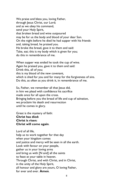We praise and bless you, loving Father, through Jesus Christ, our Lord; and as we obey his command, send your Holy Spirit, that broken bread and wine outpoured may be for us the body and blood of your dear Son. On the night before he died he had supper with his friends and, taking bread, he praised you. He broke the bread, gave it to them and said: Take, eat; this is my body which is given for you; do this in remembrance of me.

When supper was ended he took the cup of wine. Again he praised you, gave it to them and said: Drink this, all of you; this is my blood of the new covenant, which is shed for you and for many for the forgiveness of sins. Do this, as often as you drink it, in remembrance of me.

So, Father, we remember all that Jesus did, in him we plead with confidence his sacrifice made once for all upon the cross. Bringing before you the bread of life and cup of salvation, we proclaim his death and resurrection until he comes in glory.

Great is the mystery of faith: **Christ has died: Christ is risen: Christ will come again**.

Lord of all life, help us to work together for that day when your kingdom comes and justice and mercy will be seen in all the earth. Look with favour on your people, gather us in your loving arms and bring us with [N and] all the saints to feast at your table in heaven. Through Christ, and with Christ, and in Christ, in the unity of the Holy Spirit, all honour and glory are yours, O loving Father, for ever and ever. **Amen**.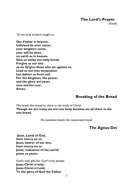**The Lord's Prayer**

 *(Kneel)*

So we pray as Jesus taught us

**Our Father in heaven, hallowed be your name, your kingdom come, your will be done, on earth as in heaven. Give us today our daily bread. Forgive us our sins as we forgive those who sin against us. Lead us not into temptation but deliver us from evil. For the kingdom, the power, and the glory are yours now and for ever. Amen.**

#### **Breaking of the Bread**

We break this bread to share in the body of Christ **Though we are many we are one body because we all share in the one bread.**

*The president breaks the consecrated bread.*

#### **The Agnus Dei**

**Jesus**, **Lamb of God, have mercy on us. Jesus, bearer of our sins, have mercy on us. Jesus, redeemer of the world, grant us peace.**

God's holy gifts for God's holy people **Jesus Christ is holy; Jesus Christ is Lord; To the glory of God the Father**